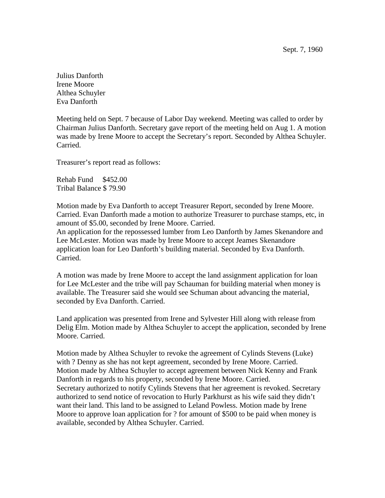Julius Danforth Irene Moore Althea Schuyler Eva Danforth

Meeting held on Sept. 7 because of Labor Day weekend. Meeting was called to order by Chairman Julius Danforth. Secretary gave report of the meeting held on Aug 1. A motion was made by Irene Moore to accept the Secretary's report. Seconded by Althea Schuyler. Carried.

Treasurer's report read as follows:

Rehab Fund \$452.00 Tribal Balance \$ 79.90

Motion made by Eva Danforth to accept Treasurer Report, seconded by Irene Moore. Carried. Evan Danforth made a motion to authorize Treasurer to purchase stamps, etc, in amount of \$5.00, seconded by Irene Moore. Carried.

An application for the repossessed lumber from Leo Danforth by James Skenandore and Lee McLester. Motion was made by Irene Moore to accept Jeames Skenandore application loan for Leo Danforth's building material. Seconded by Eva Danforth. Carried.

A motion was made by Irene Moore to accept the land assignment application for loan for Lee McLester and the tribe will pay Schauman for building material when money is available. The Treasurer said she would see Schuman about advancing the material, seconded by Eva Danforth. Carried.

Land application was presented from Irene and Sylvester Hill along with release from Delig Elm. Motion made by Althea Schuyler to accept the application, seconded by Irene Moore. Carried.

Motion made by Althea Schuyler to revoke the agreement of Cylinds Stevens (Luke) with ? Denny as she has not kept agreement, seconded by Irene Moore. Carried. Motion made by Althea Schuyler to accept agreement between Nick Kenny and Frank Danforth in regards to his property, seconded by Irene Moore. Carried. Secretary authorized to notify Cylinds Stevens that her agreement is revoked. Secretary authorized to send notice of revocation to Hurly Parkhurst as his wife said they didn't want their land. This land to be assigned to Leland Powless. Motion made by Irene Moore to approve loan application for ? for amount of \$500 to be paid when money is available, seconded by Althea Schuyler. Carried.